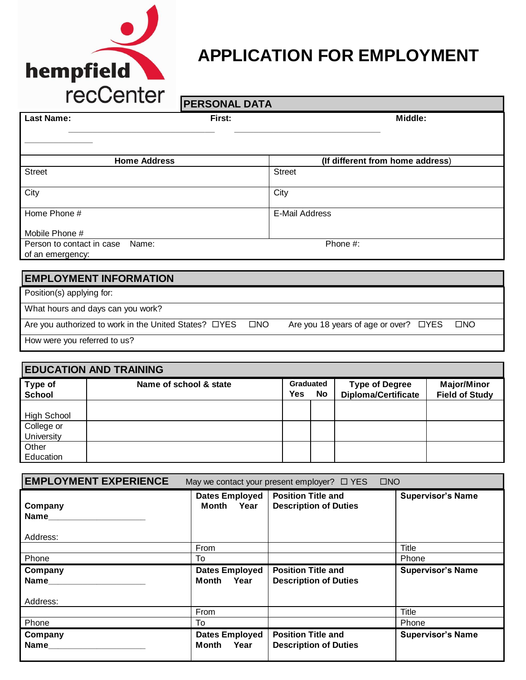

# **APPLICATION FOR EMPLOYMENT**

| I ECOGHE                                                                                                                                                                                                                                                                                                                           | <b>PERSONAL DATA</b> |                                                                       |
|------------------------------------------------------------------------------------------------------------------------------------------------------------------------------------------------------------------------------------------------------------------------------------------------------------------------------------|----------------------|-----------------------------------------------------------------------|
| <b>Last Name:</b>                                                                                                                                                                                                                                                                                                                  | First:               | Middle:                                                               |
|                                                                                                                                                                                                                                                                                                                                    |                      |                                                                       |
|                                                                                                                                                                                                                                                                                                                                    | <b>Home Address</b>  | (If different from home address)                                      |
| <b>Street</b>                                                                                                                                                                                                                                                                                                                      |                      | <b>Street</b>                                                         |
| City                                                                                                                                                                                                                                                                                                                               |                      | City                                                                  |
| Home Phone #                                                                                                                                                                                                                                                                                                                       |                      | <b>E-Mail Address</b>                                                 |
| Mobile Phone #                                                                                                                                                                                                                                                                                                                     |                      |                                                                       |
| Person to contact in case                                                                                                                                                                                                                                                                                                          | Name:                | Phone #:                                                              |
| of an emergency:                                                                                                                                                                                                                                                                                                                   |                      |                                                                       |
| <b>EMPLOYMENT INFORMATION</b>                                                                                                                                                                                                                                                                                                      |                      |                                                                       |
| Position(s) applying for:                                                                                                                                                                                                                                                                                                          |                      |                                                                       |
| What hours and days can you work?                                                                                                                                                                                                                                                                                                  |                      |                                                                       |
| Are you authorized to work in the United States? □YES                                                                                                                                                                                                                                                                              |                      | $\square$ NO<br>$\square$ NO<br>Are you 18 years of age or over? □YES |
| $\mathbf{1}$ $\mathbf{1}$ $\mathbf{2}$ $\mathbf{3}$ $\mathbf{3}$ $\mathbf{4}$ $\mathbf{4}$ $\mathbf{3}$ $\mathbf{4}$ $\mathbf{4}$ $\mathbf{5}$ $\mathbf{5}$ $\mathbf{5}$ $\mathbf{6}$ $\mathbf{6}$ $\mathbf{7}$ $\mathbf{8}$ $\mathbf{8}$ $\mathbf{1}$ $\mathbf{4}$ $\mathbf{5}$ $\mathbf{5}$ $\mathbf{6}$ $\mathbf{6}$ $\mathbf{$ |                      |                                                                       |

How were you referred to us?

| <b>EDUCATION AND TRAINING</b> |                        |                                      |  |                                                     |                                             |
|-------------------------------|------------------------|--------------------------------------|--|-----------------------------------------------------|---------------------------------------------|
| Type of<br><b>School</b>      | Name of school & state | Graduated<br><b>Yes</b><br><b>No</b> |  | <b>Type of Degree</b><br><b>Diploma/Certificate</b> | <b>Major/Minor</b><br><b>Field of Study</b> |
| <b>High School</b>            |                        |                                      |  |                                                     |                                             |
| College or<br>University      |                        |                                      |  |                                                     |                                             |
| Other<br>Education            |                        |                                      |  |                                                     |                                             |

| <b>EMPLOYMENT EXPERIENCE</b> |                                     | $\Box$ NO<br>May we contact your present employer? $\Box$ YES |                          |
|------------------------------|-------------------------------------|---------------------------------------------------------------|--------------------------|
| Company<br>Name<br>Address:  | <b>Dates Employed</b><br>Month Year | <b>Position Title and</b><br><b>Description of Duties</b>     | <b>Supervisor's Name</b> |
|                              | From                                |                                                               | Title                    |
| Phone                        | To                                  |                                                               | Phone                    |
| Company                      | <b>Dates Employed</b>               | <b>Position Title and</b><br><b>Description of Duties</b>     | <b>Supervisor's Name</b> |
| <b>Name</b>                  | Month<br>Year                       |                                                               |                          |
| Address:                     |                                     |                                                               |                          |
|                              | From                                |                                                               | Title                    |
| Phone                        | To                                  |                                                               | Phone                    |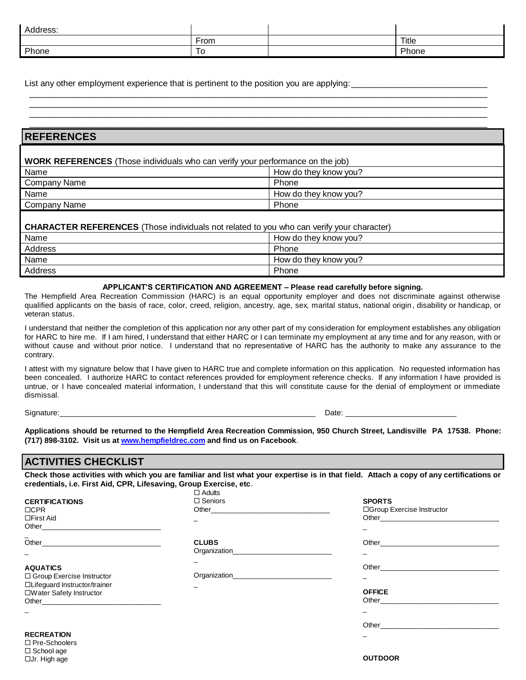| Address: |          |       |
|----------|----------|-------|
|          | From     | Title |
| Phone    | _<br>10. | Phone |

\_\_\_\_\_\_\_\_\_\_\_\_\_\_\_\_\_\_\_\_\_\_\_\_\_\_\_\_\_\_\_\_\_\_\_\_\_\_\_\_\_\_\_\_\_\_\_\_\_\_\_\_\_\_\_\_\_\_\_\_\_\_\_\_\_\_\_\_\_\_\_\_\_\_\_\_\_\_\_\_\_\_\_\_\_\_\_\_\_\_\_\_\_\_ \_\_\_\_\_\_\_\_\_\_\_\_\_\_\_\_\_\_\_\_\_\_\_\_\_\_\_\_\_\_\_\_\_\_\_\_\_\_\_\_\_\_\_\_\_\_\_\_\_\_\_\_\_\_\_\_\_\_\_\_\_\_\_\_\_\_\_\_\_\_\_\_\_\_\_\_\_\_\_\_\_\_\_\_\_\_\_\_\_\_\_\_\_\_ \_\_\_\_\_\_\_\_\_\_\_\_\_\_\_\_\_\_\_\_\_\_\_\_\_\_\_\_\_\_\_\_\_\_\_\_\_\_\_\_\_\_\_\_\_\_\_\_\_\_\_\_\_\_\_\_\_\_\_\_\_\_\_\_\_\_\_\_\_\_\_\_\_\_\_\_\_\_\_\_\_\_\_\_\_\_\_\_\_\_\_\_\_\_

List any other employment experience that is pertinent to the position you are applying:

| <b>REFERENCES</b><br><b>WORK REFERENCES</b> (Those individuals who can verify your performance on the job) |                                                                                                  |  |  |
|------------------------------------------------------------------------------------------------------------|--------------------------------------------------------------------------------------------------|--|--|
|                                                                                                            |                                                                                                  |  |  |
| <b>Company Name</b>                                                                                        | Phone                                                                                            |  |  |
| Name                                                                                                       | How do they know you?                                                                            |  |  |
| Company Name                                                                                               | Phone                                                                                            |  |  |
|                                                                                                            | <b>CHARACTER REFERENCES</b> (Those individuals not related to you who can verify your character) |  |  |
| Name                                                                                                       | How do they know you?                                                                            |  |  |
| Address                                                                                                    | Phone                                                                                            |  |  |
| Name                                                                                                       | How do they know you?                                                                            |  |  |
| Address                                                                                                    | Phone                                                                                            |  |  |

#### **APPLICANT'S CERTIFICATION AND AGREEMENT – Please read carefully before signing.**

The Hempfield Area Recreation Commission (HARC) is an equal opportunity employer and does not discriminate against otherwise qualified applicants on the basis of race, color, creed, religion, ancestry, age, sex, marital status, national origin, disability or handicap, or veteran status.

I understand that neither the completion of this application nor any other part of my consideration for employment establishes any obligation for HARC to hire me. If I am hired, I understand that either HARC or I can terminate my employment at any time and for any reason, with or without cause and without prior notice. I understand that no representative of HARC has the authority to make any assurance to the contrary.

I attest with my signature below that I have given to HARC true and complete information on this application. No requested information has been concealed. I authorize HARC to contact references provided for employment reference checks. If any information I have provided is untrue, or I have concealed material information, I understand that this will constitute cause for the denial of employment or immediate dismissal.

Signature:\_\_\_\_\_\_\_\_\_\_\_\_\_\_\_\_\_\_\_\_\_\_\_\_\_\_\_\_\_\_\_\_\_\_\_\_\_\_\_\_\_\_\_\_\_\_\_\_\_\_\_\_\_\_\_\_\_\_\_\_ Date: \_\_\_\_\_\_\_\_\_\_\_\_\_\_\_\_\_\_\_\_\_\_\_\_\_\_

**Applications should be returned to the Hempfield Area Recreation Commission, 950 Church Street, Landisville PA 17538. Phone: (717) 898-3102. Visit us at [www.hempfieldrec.com](http://www.hempfieldrec.com/) and find us on Facebook**.

### **ACTIVITIES CHECKLIST**

**Check those activities with which you are familiar and list what your expertise is in that field. Attach a copy of any certifications or credentials, i.e. First Aid, CPR, Lifesaving, Group Exercise, etc**.

Adults

|                               | LI AUUILS                                                                                                                                                                                                                           |                                                                                                                                                                                                                                |
|-------------------------------|-------------------------------------------------------------------------------------------------------------------------------------------------------------------------------------------------------------------------------------|--------------------------------------------------------------------------------------------------------------------------------------------------------------------------------------------------------------------------------|
| <b>CERTIFICATIONS</b>         | $\Box$ Seniors                                                                                                                                                                                                                      | <b>SPORTS</b>                                                                                                                                                                                                                  |
| $\Box$ CPR                    | Other and the contract of the contract of the contract of the contract of the contract of the contract of the contract of the contract of the contract of the contract of the contract of the contract of the contract of the       | □Group Exercise Instructor                                                                                                                                                                                                     |
| $\Box$ First Aid              |                                                                                                                                                                                                                                     |                                                                                                                                                                                                                                |
|                               |                                                                                                                                                                                                                                     |                                                                                                                                                                                                                                |
| $\overline{\phantom{0}}$      |                                                                                                                                                                                                                                     |                                                                                                                                                                                                                                |
|                               | <b>CLUBS</b>                                                                                                                                                                                                                        | Other <u>example</u>                                                                                                                                                                                                           |
|                               | Organization                                                                                                                                                                                                                        |                                                                                                                                                                                                                                |
|                               |                                                                                                                                                                                                                                     |                                                                                                                                                                                                                                |
| <b>AQUATICS</b>               |                                                                                                                                                                                                                                     |                                                                                                                                                                                                                                |
| □ Group Exercise Instructor   | <b>Organization</b> experience the control of the control of the control of the control of the control of the control of the control of the control of the control of the control of the control of the control of the control of t |                                                                                                                                                                                                                                |
| □Lifeguard Instructor/trainer |                                                                                                                                                                                                                                     |                                                                                                                                                                                                                                |
| □Water Safety Instructor      |                                                                                                                                                                                                                                     | <b>OFFICE</b>                                                                                                                                                                                                                  |
|                               |                                                                                                                                                                                                                                     | Other the control of the control of the control of the control of the control of the control of the control of the control of the control of the control of the control of the control of the control of the control of the co |
|                               |                                                                                                                                                                                                                                     | -                                                                                                                                                                                                                              |
|                               |                                                                                                                                                                                                                                     |                                                                                                                                                                                                                                |
|                               |                                                                                                                                                                                                                                     |                                                                                                                                                                                                                                |
| <b>RECREATION</b>             |                                                                                                                                                                                                                                     |                                                                                                                                                                                                                                |
| $\Box$ Pre-Schoolers          |                                                                                                                                                                                                                                     |                                                                                                                                                                                                                                |

 $\square$  School age □Jr. High age

**OUTDOOR**